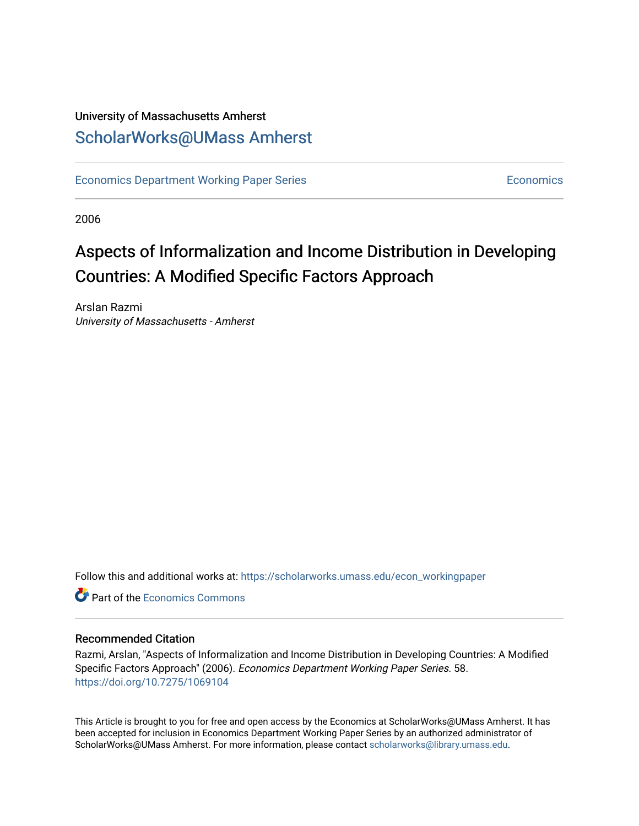#### University of Massachusetts Amherst [ScholarWorks@UMass Amherst](https://scholarworks.umass.edu/)

[Economics Department Working Paper Series](https://scholarworks.umass.edu/econ_workingpaper) **Economics** [Economics](https://scholarworks.umass.edu/economics) Economics

2006

## Aspects of Informalization and Income Distribution in Developing Countries: A Modified Specific Factors Approach

Arslan Razmi University of Massachusetts - Amherst

Follow this and additional works at: [https://scholarworks.umass.edu/econ\\_workingpaper](https://scholarworks.umass.edu/econ_workingpaper?utm_source=scholarworks.umass.edu%2Fecon_workingpaper%2F58&utm_medium=PDF&utm_campaign=PDFCoverPages) 

**C** Part of the [Economics Commons](http://network.bepress.com/hgg/discipline/340?utm_source=scholarworks.umass.edu%2Fecon_workingpaper%2F58&utm_medium=PDF&utm_campaign=PDFCoverPages)

#### Recommended Citation

Razmi, Arslan, "Aspects of Informalization and Income Distribution in Developing Countries: A Modified Specific Factors Approach" (2006). Economics Department Working Paper Series. 58. <https://doi.org/10.7275/1069104>

This Article is brought to you for free and open access by the Economics at ScholarWorks@UMass Amherst. It has been accepted for inclusion in Economics Department Working Paper Series by an authorized administrator of ScholarWorks@UMass Amherst. For more information, please contact [scholarworks@library.umass.edu.](mailto:scholarworks@library.umass.edu)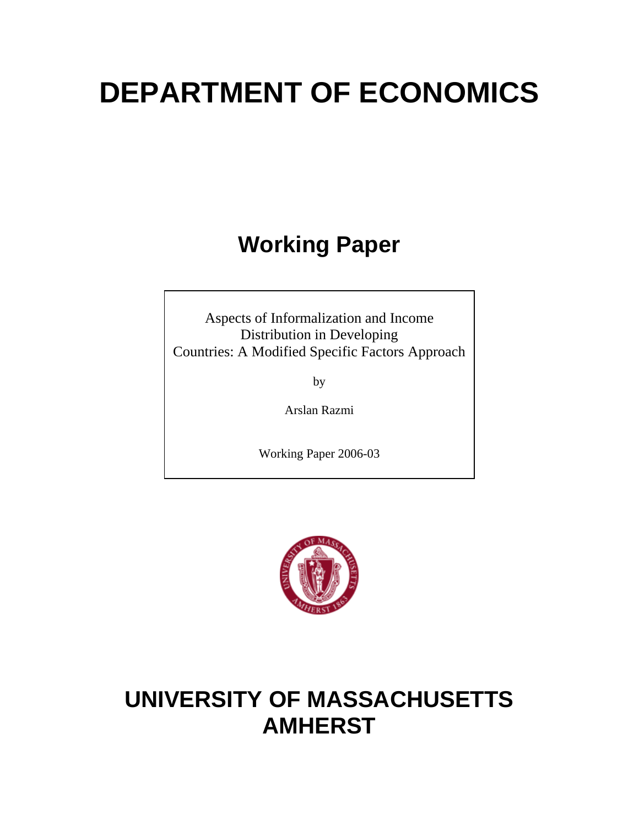# **DEPARTMENT OF ECONOMICS**

# **Working Paper**

Aspects of Informalization and Income Distribution in Developing Countries: A Modified Specific Factors Approach

by

Arslan Razmi

Working Paper 2006-03



# **UNIVERSITY OF MASSACHUSETTS AMHERST**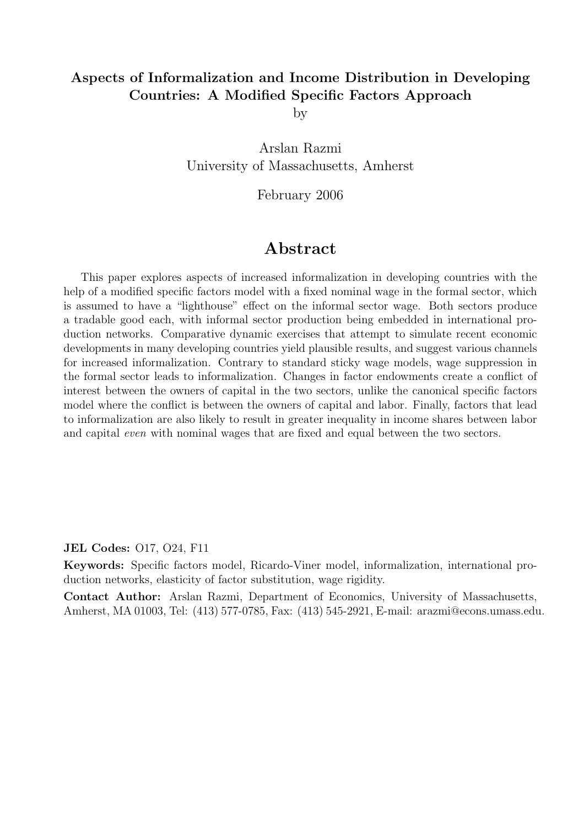#### Aspects of Informalization and Income Distribution in Developing Countries: A Modified Specific Factors Approach

by

Arslan Razmi University of Massachusetts, Amherst

February 2006

#### Abstract

This paper explores aspects of increased informalization in developing countries with the help of a modified specific factors model with a fixed nominal wage in the formal sector, which is assumed to have a "lighthouse" effect on the informal sector wage. Both sectors produce a tradable good each, with informal sector production being embedded in international production networks. Comparative dynamic exercises that attempt to simulate recent economic developments in many developing countries yield plausible results, and suggest various channels for increased informalization. Contrary to standard sticky wage models, wage suppression in the formal sector leads to informalization. Changes in factor endowments create a conflict of interest between the owners of capital in the two sectors, unlike the canonical specific factors model where the conflict is between the owners of capital and labor. Finally, factors that lead to informalization are also likely to result in greater inequality in income shares between labor and capital even with nominal wages that are fixed and equal between the two sectors.

JEL Codes: O17, O24, F11

Keywords: Specific factors model, Ricardo-Viner model, informalization, international production networks, elasticity of factor substitution, wage rigidity.

Contact Author: Arslan Razmi, Department of Economics, University of Massachusetts, Amherst, MA 01003, Tel: (413) 577-0785, Fax: (413) 545-2921, E-mail: arazmi@econs.umass.edu.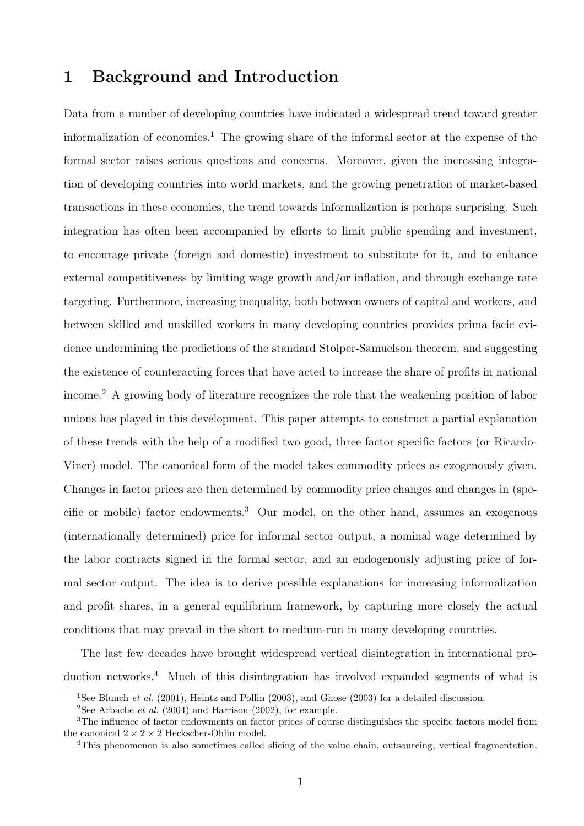#### 1 Background and Introduction

Data from a number of developing countries have indicated a widespread trend toward greater informalization of economies.<sup>1</sup> The growing share of the informal sector at the expense of the formal sector raises serious questions and concerns. Moreover, given the increasing integration of developing countries into world markets, and the growing penetration of market-based transactions in these economies, the trend towards informalization is perhaps surprising. Such integration has often been accompanied by efforts to limit public spending and investment, to encourage private (foreign and domestic) investment to substitute for it, and to enhance external competitiveness by limiting wage growth and/or inflation, and through exchange rate targeting. Furthermore, increasing inequality, both between owners of capital and workers, and between skilled and unskilled workers in many developing countries provides prima facie evidence undermining the predictions of the standard Stolper-Samuelson theorem, and suggesting the existence of counteracting forces that have acted to increase the share of profits in national income.<sup>2</sup> A growing body of literature recognizes the role that the weakening position of labor unions has played in this development. This paper attempts to construct a partial explanation of these trends with the help of a modified two good, three factor specific factors (or Ricardo-Viner) model. The canonical form of the model takes commodity prices as exogenously given. Changes in factor prices are then determined by commodity price changes and changes in (specific or mobile) factor endowments.<sup>3</sup> Our model, on the other hand, assumes an exogenous (internationally determined) price for informal sector output, a nominal wage determined by the labor contracts signed in the formal sector, and an endogenously adjusting price of formal sector output. The idea is to derive possible explanations for increasing informalization and profit shares, in a general equilibrium framework, by capturing more closely the actual conditions that may prevail in the short to medium-run in many developing countries.

The last few decades have brought widespread vertical disintegration in international production networks.<sup>4</sup> Much of this disintegration has involved expanded segments of what is

<sup>&</sup>lt;sup>1</sup>See Blunch *et al.* (2001), Heintz and Pollin (2003), and Ghose (2003) for a detailed discussion.

<sup>&</sup>lt;sup>2</sup>See Arbache *et al.* (2004) and Harrison (2002), for example.

<sup>3</sup>The influence of factor endowments on factor prices of course distinguishes the specific factors model from the canonical  $2 \times 2 \times 2$  Heckscher-Ohlin model.

<sup>4</sup>This phenomenon is also sometimes called slicing of the value chain, outsourcing, vertical fragmentation,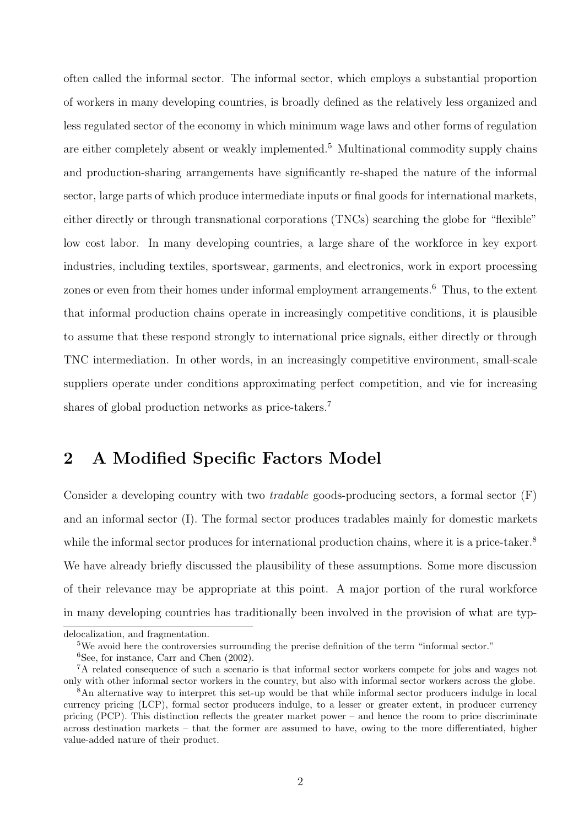often called the informal sector. The informal sector, which employs a substantial proportion of workers in many developing countries, is broadly defined as the relatively less organized and less regulated sector of the economy in which minimum wage laws and other forms of regulation are either completely absent or weakly implemented.<sup>5</sup> Multinational commodity supply chains and production-sharing arrangements have significantly re-shaped the nature of the informal sector, large parts of which produce intermediate inputs or final goods for international markets, either directly or through transnational corporations (TNCs) searching the globe for "flexible" low cost labor. In many developing countries, a large share of the workforce in key export industries, including textiles, sportswear, garments, and electronics, work in export processing zones or even from their homes under informal employment arrangements.<sup>6</sup> Thus, to the extent that informal production chains operate in increasingly competitive conditions, it is plausible to assume that these respond strongly to international price signals, either directly or through TNC intermediation. In other words, in an increasingly competitive environment, small-scale suppliers operate under conditions approximating perfect competition, and vie for increasing shares of global production networks as price-takers.<sup>7</sup>

### 2 A Modified Specific Factors Model

Consider a developing country with two *tradable* goods-producing sectors, a formal sector  $(F)$ and an informal sector (I). The formal sector produces tradables mainly for domestic markets while the informal sector produces for international production chains, where it is a price-taker.<sup>8</sup> We have already briefly discussed the plausibility of these assumptions. Some more discussion of their relevance may be appropriate at this point. A major portion of the rural workforce in many developing countries has traditionally been involved in the provision of what are typ-

delocalization, and fragmentation.

<sup>&</sup>lt;sup>5</sup>We avoid here the controversies surrounding the precise definition of the term "informal sector."

<sup>6</sup>See, for instance, Carr and Chen (2002).

<sup>7</sup>A related consequence of such a scenario is that informal sector workers compete for jobs and wages not only with other informal sector workers in the country, but also with informal sector workers across the globe.

<sup>8</sup>An alternative way to interpret this set-up would be that while informal sector producers indulge in local currency pricing (LCP), formal sector producers indulge, to a lesser or greater extent, in producer currency pricing (PCP). This distinction reflects the greater market power – and hence the room to price discriminate across destination markets – that the former are assumed to have, owing to the more differentiated, higher value-added nature of their product.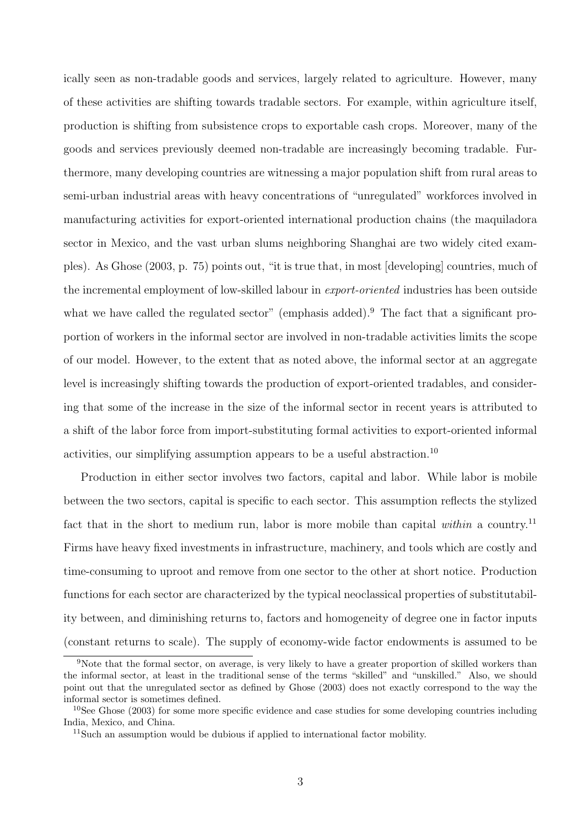ically seen as non-tradable goods and services, largely related to agriculture. However, many of these activities are shifting towards tradable sectors. For example, within agriculture itself, production is shifting from subsistence crops to exportable cash crops. Moreover, many of the goods and services previously deemed non-tradable are increasingly becoming tradable. Furthermore, many developing countries are witnessing a major population shift from rural areas to semi-urban industrial areas with heavy concentrations of "unregulated" workforces involved in manufacturing activities for export-oriented international production chains (the maquiladora sector in Mexico, and the vast urban slums neighboring Shanghai are two widely cited examples). As Ghose (2003, p. 75) points out, "it is true that, in most [developing] countries, much of the incremental employment of low-skilled labour in export-oriented industries has been outside what we have called the regulated sector" (emphasis added).<sup>9</sup> The fact that a significant proportion of workers in the informal sector are involved in non-tradable activities limits the scope of our model. However, to the extent that as noted above, the informal sector at an aggregate level is increasingly shifting towards the production of export-oriented tradables, and considering that some of the increase in the size of the informal sector in recent years is attributed to a shift of the labor force from import-substituting formal activities to export-oriented informal activities, our simplifying assumption appears to be a useful abstraction.<sup>10</sup>

Production in either sector involves two factors, capital and labor. While labor is mobile between the two sectors, capital is specific to each sector. This assumption reflects the stylized fact that in the short to medium run, labor is more mobile than capital within a country.<sup>11</sup> Firms have heavy fixed investments in infrastructure, machinery, and tools which are costly and time-consuming to uproot and remove from one sector to the other at short notice. Production functions for each sector are characterized by the typical neoclassical properties of substitutability between, and diminishing returns to, factors and homogeneity of degree one in factor inputs (constant returns to scale). The supply of economy-wide factor endowments is assumed to be

<sup>9</sup>Note that the formal sector, on average, is very likely to have a greater proportion of skilled workers than the informal sector, at least in the traditional sense of the terms "skilled" and "unskilled." Also, we should point out that the unregulated sector as defined by Ghose (2003) does not exactly correspond to the way the informal sector is sometimes defined.

 $10$ See Ghose (2003) for some more specific evidence and case studies for some developing countries including India, Mexico, and China.

<sup>11</sup>Such an assumption would be dubious if applied to international factor mobility.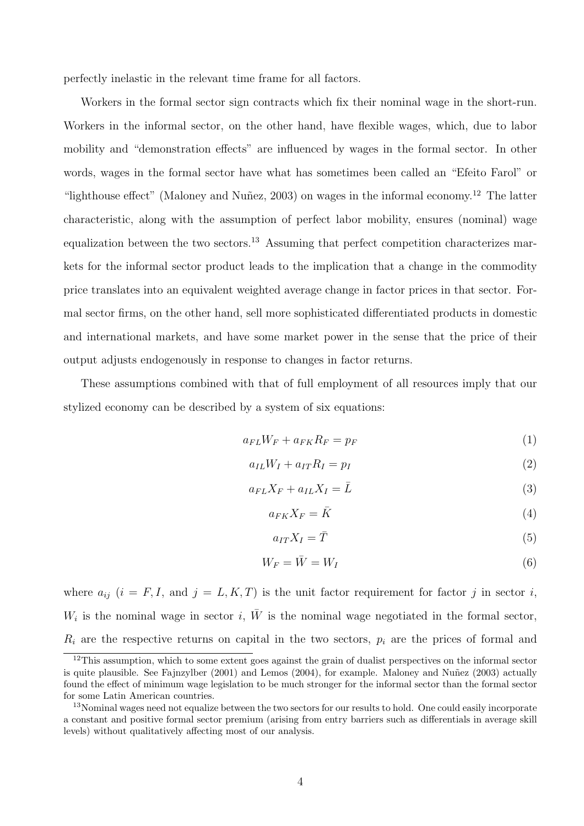perfectly inelastic in the relevant time frame for all factors.

Workers in the formal sector sign contracts which fix their nominal wage in the short-run. Workers in the informal sector, on the other hand, have flexible wages, which, due to labor mobility and "demonstration effects" are influenced by wages in the formal sector. In other words, wages in the formal sector have what has sometimes been called an "Efeito Farol" or "lighthouse effect" (Maloney and Nuñez, 2003) on wages in the informal economy.<sup>12</sup> The latter characteristic, along with the assumption of perfect labor mobility, ensures (nominal) wage equalization between the two sectors.<sup>13</sup> Assuming that perfect competition characterizes markets for the informal sector product leads to the implication that a change in the commodity price translates into an equivalent weighted average change in factor prices in that sector. Formal sector firms, on the other hand, sell more sophisticated differentiated products in domestic and international markets, and have some market power in the sense that the price of their output adjusts endogenously in response to changes in factor returns.

These assumptions combined with that of full employment of all resources imply that our stylized economy can be described by a system of six equations:

$$
a_{FL}W_F + a_{FK}R_F = p_F \tag{1}
$$

$$
a_{IL}W_I + a_{IT}R_I = p_I \tag{2}
$$

$$
a_{FL}X_F + a_{IL}X_I = \bar{L}
$$
\n<sup>(3)</sup>

$$
a_{FK}X_F = \bar{K}
$$
\n<sup>(4)</sup>

$$
a_{IT}X_I = \bar{T} \tag{5}
$$

$$
W_F = \bar{W} = W_I \tag{6}
$$

where  $a_{ij}$   $(i = F, I, \text{ and } j = L, K, T)$  is the unit factor requirement for factor j in sector i,  $W_i$  is the nominal wage in sector i,  $\overline{W}$  is the nominal wage negotiated in the formal sector,  $R_i$  are the respective returns on capital in the two sectors,  $p_i$  are the prices of formal and

 $12$ This assumption, which to some extent goes against the grain of dualist perspectives on the informal sector is quite plausible. See Fajnzylber  $(2001)$  and Lemos  $(2004)$ , for example. Maloney and Nuñez  $(2003)$  actually found the effect of minimum wage legislation to be much stronger for the informal sector than the formal sector for some Latin American countries.

<sup>&</sup>lt;sup>13</sup>Nominal wages need not equalize between the two sectors for our results to hold. One could easily incorporate a constant and positive formal sector premium (arising from entry barriers such as differentials in average skill levels) without qualitatively affecting most of our analysis.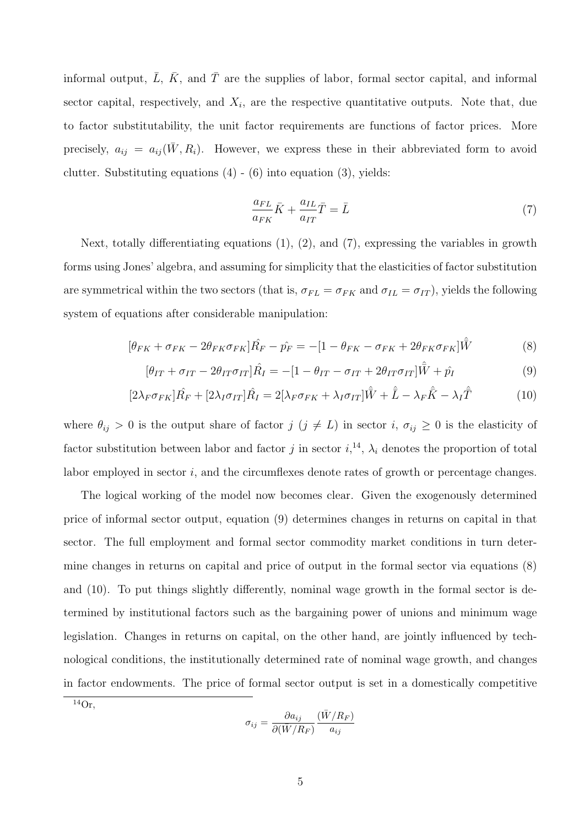informal output,  $\overline{L}$ ,  $\overline{K}$ , and  $\overline{T}$  are the supplies of labor, formal sector capital, and informal sector capital, respectively, and  $X_i$ , are the respective quantitative outputs. Note that, due to factor substitutability, the unit factor requirements are functions of factor prices. More precisely,  $a_{ij} = a_{ij}(\bar{W}, R_i)$ . However, we express these in their abbreviated form to avoid clutter. Substituting equations  $(4)$  -  $(6)$  into equation  $(3)$ , yields:

$$
\frac{a_{FL}}{a_{FK}}\bar{K} + \frac{a_{IL}}{a_{IT}}\bar{T} = \bar{L}
$$
\n(7)

Next, totally differentiating equations (1), (2), and (7), expressing the variables in growth forms using Jones' algebra, and assuming for simplicity that the elasticities of factor substitution are symmetrical within the two sectors (that is,  $\sigma_{FL} = \sigma_{FK}$  and  $\sigma_{IL} = \sigma_{IT}$ ), yields the following system of equations after considerable manipulation:

$$
[\theta_{FK} + \sigma_{FK} - 2\theta_{FK}\sigma_{FK}]\hat{R_F} - \hat{p_F} = -[1 - \theta_{FK} - \sigma_{FK} + 2\theta_{FK}\sigma_{FK}]\hat{W}
$$
(8)

$$
[\theta_{IT} + \sigma_{IT} - 2\theta_{IT}\sigma_{IT}]\hat{R}_I = -[1 - \theta_{IT} - \sigma_{IT} + 2\theta_{IT}\sigma_{IT}]\hat{W} + \hat{p}_I
$$
\n(9)

$$
[2\lambda_F \sigma_{FK}] \hat{R_F} + [2\lambda_I \sigma_{IT}] \hat{R_I} = 2[\lambda_F \sigma_{FK} + \lambda_I \sigma_{IT}] \hat{\bar{W}} + \hat{\bar{L}} - \lambda_F \hat{\bar{K}} - \lambda_I \hat{\bar{T}} \tag{10}
$$

where  $\theta_{ij} > 0$  is the output share of factor  $j$   $(j \neq L)$  in sector i,  $\sigma_{ij} \geq 0$  is the elasticity of factor substitution between labor and factor j in sector  $i, \lambda_i$ ,  $\lambda_i$  denotes the proportion of total labor employed in sector i, and the circumflexes denote rates of growth or percentage changes.

The logical working of the model now becomes clear. Given the exogenously determined price of informal sector output, equation (9) determines changes in returns on capital in that sector. The full employment and formal sector commodity market conditions in turn determine changes in returns on capital and price of output in the formal sector via equations (8) and (10). To put things slightly differently, nominal wage growth in the formal sector is determined by institutional factors such as the bargaining power of unions and minimum wage legislation. Changes in returns on capital, on the other hand, are jointly influenced by technological conditions, the institutionally determined rate of nominal wage growth, and changes in factor endowments. The price of formal sector output is set in a domestically competitive

 $\frac{14}{\text{Or}}$ .

$$
\sigma_{ij} = \frac{\partial a_{ij}}{\partial (\bar{W}/R_F)} \frac{(\bar{W}/R_F)}{a_{ij}}
$$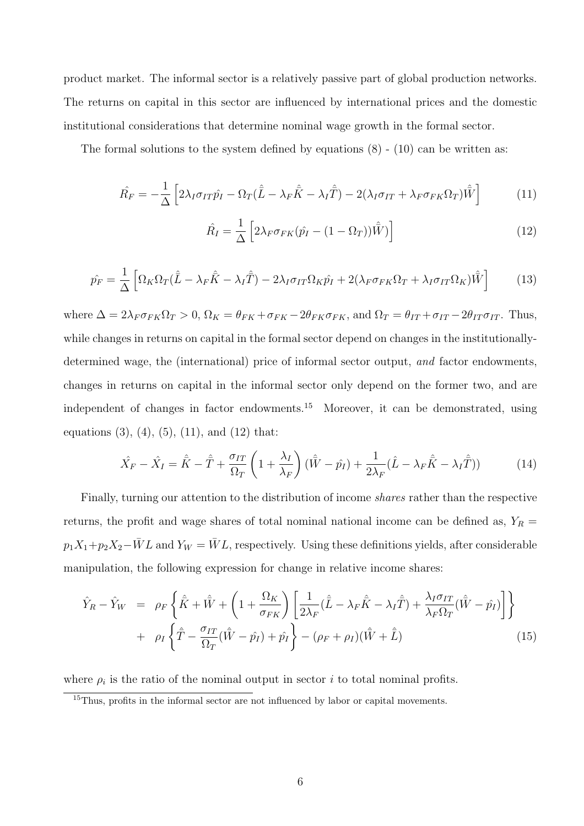product market. The informal sector is a relatively passive part of global production networks. The returns on capital in this sector are influenced by international prices and the domestic institutional considerations that determine nominal wage growth in the formal sector.

The formal solutions to the system defined by equations  $(8)$  -  $(10)$  can be written as:

$$
\hat{R_F} = -\frac{1}{\Delta} \left[ 2\lambda_I \sigma_{IT} \hat{p_I} - \Omega_T (\hat{\bar{L}} - \lambda_F \hat{\bar{K}} - \lambda_I \hat{\bar{T}}) - 2(\lambda_I \sigma_{IT} + \lambda_F \sigma_{FK} \Omega_T) \hat{\bar{W}} \right]
$$
(11)

$$
\hat{R}_I = \frac{1}{\Delta} \left[ 2\lambda_F \sigma_{FK} (\hat{p}_I - (1 - \Omega_T)) \hat{W}) \right]
$$
\n(12)

$$
\hat{p_F} = \frac{1}{\Delta} \left[ \Omega_K \Omega_T (\hat{\bar{L}} - \lambda_F \hat{\bar{K}} - \lambda_I \hat{\bar{T}}) - 2\lambda_I \sigma_{IT} \Omega_K \hat{p_I} + 2(\lambda_F \sigma_{FK} \Omega_T + \lambda_I \sigma_{IT} \Omega_K) \hat{\bar{W}} \right]
$$
(13)

where  $\Delta = 2\lambda_F \sigma_{FK} \Omega_T > 0$ ,  $\Omega_K = \theta_{FK} + \sigma_{FK} - 2\theta_{FK} \sigma_{FK}$ , and  $\Omega_T = \theta_{IT} + \sigma_{IT} - 2\theta_{IT} \sigma_{IT}$ . Thus, while changes in returns on capital in the formal sector depend on changes in the institutionallydetermined wage, the (international) price of informal sector output, and factor endowments, changes in returns on capital in the informal sector only depend on the former two, and are independent of changes in factor endowments.<sup>15</sup> Moreover, it can be demonstrated, using equations  $(3)$ ,  $(4)$ ,  $(5)$ ,  $(11)$ , and  $(12)$  that:

$$
\hat{X}_F - \hat{X}_I = \hat{\bar{K}} - \hat{\bar{T}} + \frac{\sigma_{IT}}{\Omega_T} \left( 1 + \frac{\lambda_I}{\lambda_F} \right) (\hat{\bar{W}} - \hat{p}_I) + \frac{1}{2\lambda_F} (\hat{L} - \lambda_F \hat{\bar{K}} - \lambda_I \hat{\bar{T}}))
$$
(14)

Finally, turning our attention to the distribution of income shares rather than the respective returns, the profit and wage shares of total nominal national income can be defined as,  $Y_R =$  $p_1X_1+p_2X_2-\overline{W}L$  and  $Y_W = \overline{W}L$ , respectively. Using these definitions yields, after considerable manipulation, the following expression for change in relative income shares:

$$
\hat{Y}_R - \hat{Y}_W = \rho_F \left\{ \hat{\bar{K}} + \hat{\bar{W}} + \left( 1 + \frac{\Omega_K}{\sigma_{FK}} \right) \left[ \frac{1}{2\lambda_F} (\hat{\bar{L}} - \lambda_F \hat{\bar{K}} - \lambda_I \hat{\bar{T}}) + \frac{\lambda_I \sigma_{IT}}{\lambda_F \Omega_T} (\hat{\bar{W}} - \hat{p}_I) \right] \right\} \n+ \rho_I \left\{ \hat{\bar{T}} - \frac{\sigma_{IT}}{\Omega_T} (\hat{\bar{W}} - \hat{p}_I) + \hat{p}_I \right\} - (\rho_F + \rho_I) (\hat{\bar{W}} + \hat{\bar{L}})
$$
\n(15)

where  $\rho_i$  is the ratio of the nominal output in sector i to total nominal profits.

<sup>&</sup>lt;sup>15</sup>Thus, profits in the informal sector are not influenced by labor or capital movements.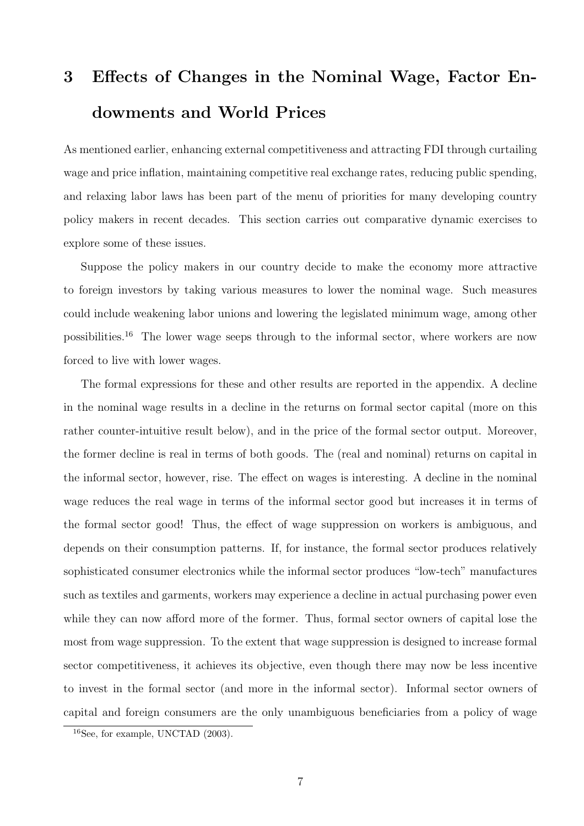# 3 Effects of Changes in the Nominal Wage, Factor Endowments and World Prices

As mentioned earlier, enhancing external competitiveness and attracting FDI through curtailing wage and price inflation, maintaining competitive real exchange rates, reducing public spending, and relaxing labor laws has been part of the menu of priorities for many developing country policy makers in recent decades. This section carries out comparative dynamic exercises to explore some of these issues.

Suppose the policy makers in our country decide to make the economy more attractive to foreign investors by taking various measures to lower the nominal wage. Such measures could include weakening labor unions and lowering the legislated minimum wage, among other possibilities.<sup>16</sup> The lower wage seeps through to the informal sector, where workers are now forced to live with lower wages.

The formal expressions for these and other results are reported in the appendix. A decline in the nominal wage results in a decline in the returns on formal sector capital (more on this rather counter-intuitive result below), and in the price of the formal sector output. Moreover, the former decline is real in terms of both goods. The (real and nominal) returns on capital in the informal sector, however, rise. The effect on wages is interesting. A decline in the nominal wage reduces the real wage in terms of the informal sector good but increases it in terms of the formal sector good! Thus, the effect of wage suppression on workers is ambiguous, and depends on their consumption patterns. If, for instance, the formal sector produces relatively sophisticated consumer electronics while the informal sector produces "low-tech" manufactures such as textiles and garments, workers may experience a decline in actual purchasing power even while they can now afford more of the former. Thus, formal sector owners of capital lose the most from wage suppression. To the extent that wage suppression is designed to increase formal sector competitiveness, it achieves its objective, even though there may now be less incentive to invest in the formal sector (and more in the informal sector). Informal sector owners of capital and foreign consumers are the only unambiguous beneficiaries from a policy of wage

<sup>16</sup>See, for example, UNCTAD (2003).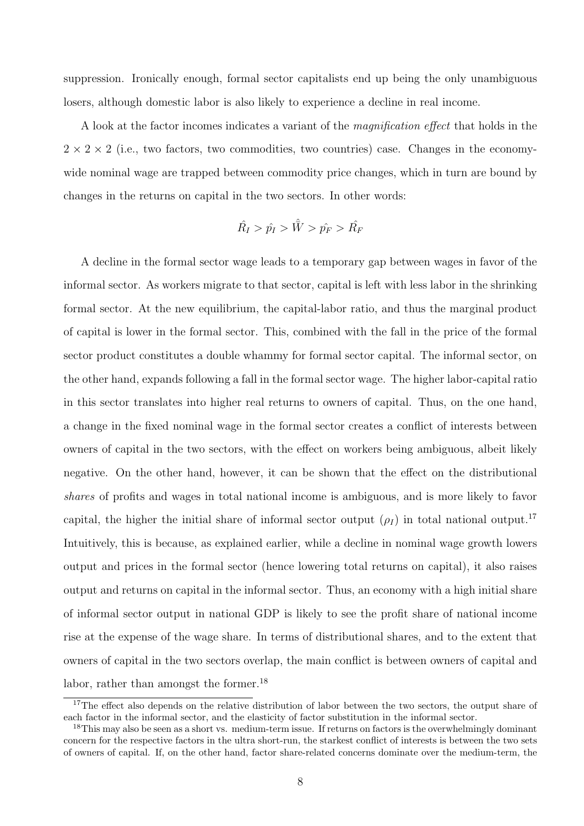suppression. Ironically enough, formal sector capitalists end up being the only unambiguous losers, although domestic labor is also likely to experience a decline in real income.

A look at the factor incomes indicates a variant of the magnification effect that holds in the  $2 \times 2 \times 2$  (i.e., two factors, two commodities, two countries) case. Changes in the economywide nominal wage are trapped between commodity price changes, which in turn are bound by changes in the returns on capital in the two sectors. In other words:

$$
\hat{R_I} > \hat{p_I} > \hat{\bar{W}} > \hat{p_F} > \hat{R_F}
$$

A decline in the formal sector wage leads to a temporary gap between wages in favor of the informal sector. As workers migrate to that sector, capital is left with less labor in the shrinking formal sector. At the new equilibrium, the capital-labor ratio, and thus the marginal product of capital is lower in the formal sector. This, combined with the fall in the price of the formal sector product constitutes a double whammy for formal sector capital. The informal sector, on the other hand, expands following a fall in the formal sector wage. The higher labor-capital ratio in this sector translates into higher real returns to owners of capital. Thus, on the one hand, a change in the fixed nominal wage in the formal sector creates a conflict of interests between owners of capital in the two sectors, with the effect on workers being ambiguous, albeit likely negative. On the other hand, however, it can be shown that the effect on the distributional shares of profits and wages in total national income is ambiguous, and is more likely to favor capital, the higher the initial share of informal sector output  $(\rho_I)$  in total national output.<sup>17</sup> Intuitively, this is because, as explained earlier, while a decline in nominal wage growth lowers output and prices in the formal sector (hence lowering total returns on capital), it also raises output and returns on capital in the informal sector. Thus, an economy with a high initial share of informal sector output in national GDP is likely to see the profit share of national income rise at the expense of the wage share. In terms of distributional shares, and to the extent that owners of capital in the two sectors overlap, the main conflict is between owners of capital and labor, rather than amongst the former.<sup>18</sup>

<sup>&</sup>lt;sup>17</sup>The effect also depends on the relative distribution of labor between the two sectors, the output share of each factor in the informal sector, and the elasticity of factor substitution in the informal sector.

<sup>&</sup>lt;sup>18</sup>This may also be seen as a short vs. medium-term issue. If returns on factors is the overwhelmingly dominant concern for the respective factors in the ultra short-run, the starkest conflict of interests is between the two sets of owners of capital. If, on the other hand, factor share-related concerns dominate over the medium-term, the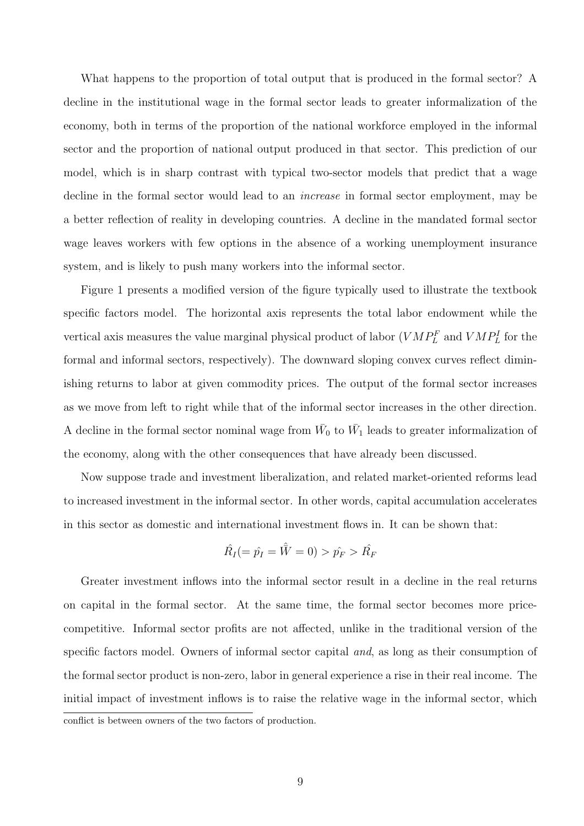What happens to the proportion of total output that is produced in the formal sector? A decline in the institutional wage in the formal sector leads to greater informalization of the economy, both in terms of the proportion of the national workforce employed in the informal sector and the proportion of national output produced in that sector. This prediction of our model, which is in sharp contrast with typical two-sector models that predict that a wage decline in the formal sector would lead to an *increase* in formal sector employment, may be a better reflection of reality in developing countries. A decline in the mandated formal sector wage leaves workers with few options in the absence of a working unemployment insurance system, and is likely to push many workers into the informal sector.

Figure 1 presents a modified version of the figure typically used to illustrate the textbook specific factors model. The horizontal axis represents the total labor endowment while the vertical axis measures the value marginal physical product of labor  $(VMP_L^F$  and  $VMP_L^I$  for the formal and informal sectors, respectively). The downward sloping convex curves reflect diminishing returns to labor at given commodity prices. The output of the formal sector increases as we move from left to right while that of the informal sector increases in the other direction. A decline in the formal sector nominal wage from  $\bar{W}_0$  to  $\bar{W}_1$  leads to greater informalization of the economy, along with the other consequences that have already been discussed.

Now suppose trade and investment liberalization, and related market-oriented reforms lead to increased investment in the informal sector. In other words, capital accumulation accelerates in this sector as domestic and international investment flows in. It can be shown that:

$$
\hat{R}_I (= \hat{p_I} = \hat{\bar{W}} = 0) > \hat{p_F} > \hat{R_F}
$$

Greater investment inflows into the informal sector result in a decline in the real returns on capital in the formal sector. At the same time, the formal sector becomes more pricecompetitive. Informal sector profits are not affected, unlike in the traditional version of the specific factors model. Owners of informal sector capital and, as long as their consumption of the formal sector product is non-zero, labor in general experience a rise in their real income. The initial impact of investment inflows is to raise the relative wage in the informal sector, which conflict is between owners of the two factors of production.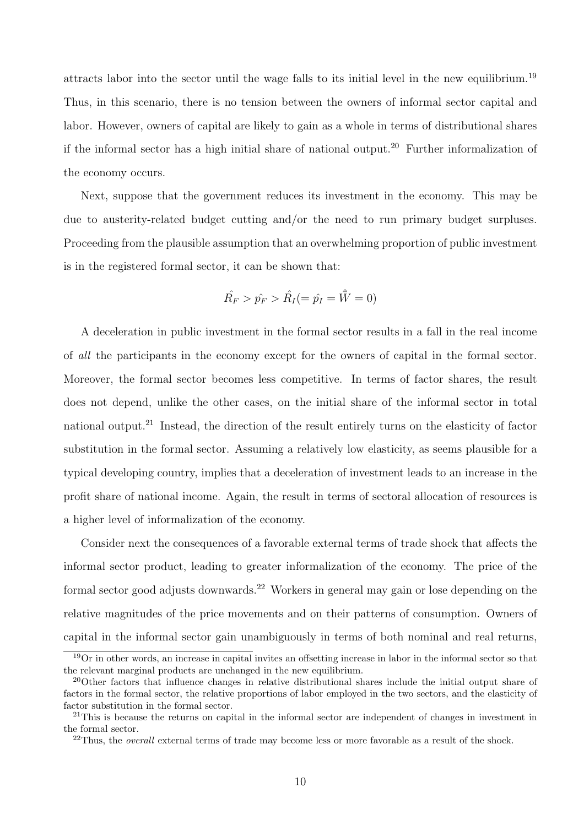attracts labor into the sector until the wage falls to its initial level in the new equilibrium.<sup>19</sup> Thus, in this scenario, there is no tension between the owners of informal sector capital and labor. However, owners of capital are likely to gain as a whole in terms of distributional shares if the informal sector has a high initial share of national output.<sup>20</sup> Further informalization of the economy occurs.

Next, suppose that the government reduces its investment in the economy. This may be due to austerity-related budget cutting and/or the need to run primary budget surpluses. Proceeding from the plausible assumption that an overwhelming proportion of public investment is in the registered formal sector, it can be shown that:

$$
\hat{R_F} > \hat{p_F} > \hat{R_I} (= \hat{p_I} = \hat{\bar{W}} = 0)
$$

A deceleration in public investment in the formal sector results in a fall in the real income of all the participants in the economy except for the owners of capital in the formal sector. Moreover, the formal sector becomes less competitive. In terms of factor shares, the result does not depend, unlike the other cases, on the initial share of the informal sector in total national output.<sup>21</sup> Instead, the direction of the result entirely turns on the elasticity of factor substitution in the formal sector. Assuming a relatively low elasticity, as seems plausible for a typical developing country, implies that a deceleration of investment leads to an increase in the profit share of national income. Again, the result in terms of sectoral allocation of resources is a higher level of informalization of the economy.

Consider next the consequences of a favorable external terms of trade shock that affects the informal sector product, leading to greater informalization of the economy. The price of the formal sector good adjusts downwards.<sup>22</sup> Workers in general may gain or lose depending on the relative magnitudes of the price movements and on their patterns of consumption. Owners of capital in the informal sector gain unambiguously in terms of both nominal and real returns,

<sup>&</sup>lt;sup>19</sup>Or in other words, an increase in capital invites an offsetting increase in labor in the informal sector so that the relevant marginal products are unchanged in the new equilibrium.

<sup>20</sup>Other factors that influence changes in relative distributional shares include the initial output share of factors in the formal sector, the relative proportions of labor employed in the two sectors, and the elasticity of factor substitution in the formal sector.

<sup>&</sup>lt;sup>21</sup>This is because the returns on capital in the informal sector are independent of changes in investment in the formal sector.

<sup>&</sup>lt;sup>22</sup>Thus, the *overall* external terms of trade may become less or more favorable as a result of the shock.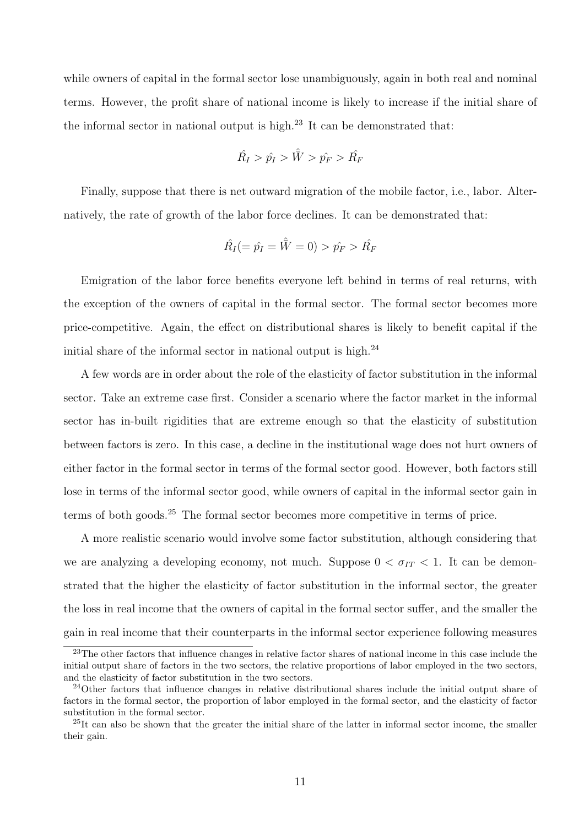while owners of capital in the formal sector lose unambiguously, again in both real and nominal terms. However, the profit share of national income is likely to increase if the initial share of the informal sector in national output is high.<sup>23</sup> It can be demonstrated that:

$$
\hat{R_I} > \hat{p_I} > \hat{\bar{W}} > \hat{p_F} > \hat{R_F}
$$

Finally, suppose that there is net outward migration of the mobile factor, i.e., labor. Alternatively, the rate of growth of the labor force declines. It can be demonstrated that:

$$
\hat{R}_I (= \hat{p_I} = \hat{\bar{W}} = 0) > \hat{p_F} > \hat{R_F}
$$

Emigration of the labor force benefits everyone left behind in terms of real returns, with the exception of the owners of capital in the formal sector. The formal sector becomes more price-competitive. Again, the effect on distributional shares is likely to benefit capital if the initial share of the informal sector in national output is high.<sup>24</sup>

A few words are in order about the role of the elasticity of factor substitution in the informal sector. Take an extreme case first. Consider a scenario where the factor market in the informal sector has in-built rigidities that are extreme enough so that the elasticity of substitution between factors is zero. In this case, a decline in the institutional wage does not hurt owners of either factor in the formal sector in terms of the formal sector good. However, both factors still lose in terms of the informal sector good, while owners of capital in the informal sector gain in terms of both goods.<sup>25</sup> The formal sector becomes more competitive in terms of price.

A more realistic scenario would involve some factor substitution, although considering that we are analyzing a developing economy, not much. Suppose  $0 < \sigma_{IT} < 1$ . It can be demonstrated that the higher the elasticity of factor substitution in the informal sector, the greater the loss in real income that the owners of capital in the formal sector suffer, and the smaller the gain in real income that their counterparts in the informal sector experience following measures

<sup>&</sup>lt;sup>23</sup>The other factors that influence changes in relative factor shares of national income in this case include the initial output share of factors in the two sectors, the relative proportions of labor employed in the two sectors, and the elasticity of factor substitution in the two sectors.

<sup>24</sup>Other factors that influence changes in relative distributional shares include the initial output share of factors in the formal sector, the proportion of labor employed in the formal sector, and the elasticity of factor substitution in the formal sector.

<sup>&</sup>lt;sup>25</sup>It can also be shown that the greater the initial share of the latter in informal sector income, the smaller their gain.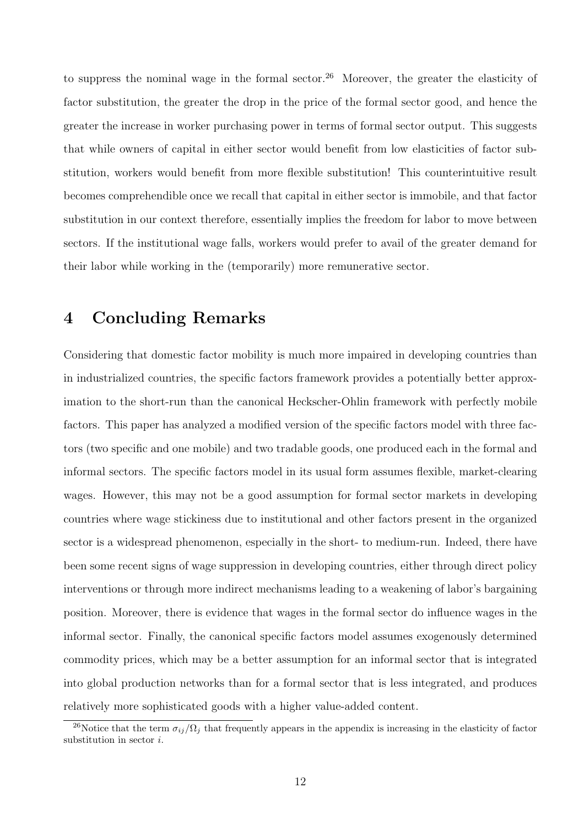to suppress the nominal wage in the formal sector.<sup>26</sup> Moreover, the greater the elasticity of factor substitution, the greater the drop in the price of the formal sector good, and hence the greater the increase in worker purchasing power in terms of formal sector output. This suggests that while owners of capital in either sector would benefit from low elasticities of factor substitution, workers would benefit from more flexible substitution! This counterintuitive result becomes comprehendible once we recall that capital in either sector is immobile, and that factor substitution in our context therefore, essentially implies the freedom for labor to move between sectors. If the institutional wage falls, workers would prefer to avail of the greater demand for their labor while working in the (temporarily) more remunerative sector.

#### 4 Concluding Remarks

Considering that domestic factor mobility is much more impaired in developing countries than in industrialized countries, the specific factors framework provides a potentially better approximation to the short-run than the canonical Heckscher-Ohlin framework with perfectly mobile factors. This paper has analyzed a modified version of the specific factors model with three factors (two specific and one mobile) and two tradable goods, one produced each in the formal and informal sectors. The specific factors model in its usual form assumes flexible, market-clearing wages. However, this may not be a good assumption for formal sector markets in developing countries where wage stickiness due to institutional and other factors present in the organized sector is a widespread phenomenon, especially in the short- to medium-run. Indeed, there have been some recent signs of wage suppression in developing countries, either through direct policy interventions or through more indirect mechanisms leading to a weakening of labor's bargaining position. Moreover, there is evidence that wages in the formal sector do influence wages in the informal sector. Finally, the canonical specific factors model assumes exogenously determined commodity prices, which may be a better assumption for an informal sector that is integrated into global production networks than for a formal sector that is less integrated, and produces relatively more sophisticated goods with a higher value-added content.

<sup>&</sup>lt;sup>26</sup>Notice that the term  $\sigma_{ij}/\Omega_j$  that frequently appears in the appendix is increasing in the elasticity of factor substitution in sector i.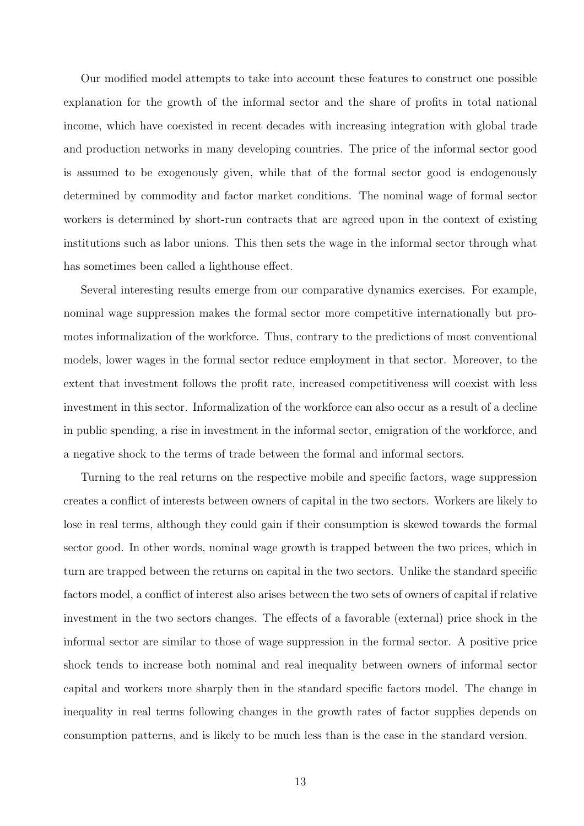Our modified model attempts to take into account these features to construct one possible explanation for the growth of the informal sector and the share of profits in total national income, which have coexisted in recent decades with increasing integration with global trade and production networks in many developing countries. The price of the informal sector good is assumed to be exogenously given, while that of the formal sector good is endogenously determined by commodity and factor market conditions. The nominal wage of formal sector workers is determined by short-run contracts that are agreed upon in the context of existing institutions such as labor unions. This then sets the wage in the informal sector through what has sometimes been called a lighthouse effect.

Several interesting results emerge from our comparative dynamics exercises. For example, nominal wage suppression makes the formal sector more competitive internationally but promotes informalization of the workforce. Thus, contrary to the predictions of most conventional models, lower wages in the formal sector reduce employment in that sector. Moreover, to the extent that investment follows the profit rate, increased competitiveness will coexist with less investment in this sector. Informalization of the workforce can also occur as a result of a decline in public spending, a rise in investment in the informal sector, emigration of the workforce, and a negative shock to the terms of trade between the formal and informal sectors.

Turning to the real returns on the respective mobile and specific factors, wage suppression creates a conflict of interests between owners of capital in the two sectors. Workers are likely to lose in real terms, although they could gain if their consumption is skewed towards the formal sector good. In other words, nominal wage growth is trapped between the two prices, which in turn are trapped between the returns on capital in the two sectors. Unlike the standard specific factors model, a conflict of interest also arises between the two sets of owners of capital if relative investment in the two sectors changes. The effects of a favorable (external) price shock in the informal sector are similar to those of wage suppression in the formal sector. A positive price shock tends to increase both nominal and real inequality between owners of informal sector capital and workers more sharply then in the standard specific factors model. The change in inequality in real terms following changes in the growth rates of factor supplies depends on consumption patterns, and is likely to be much less than is the case in the standard version.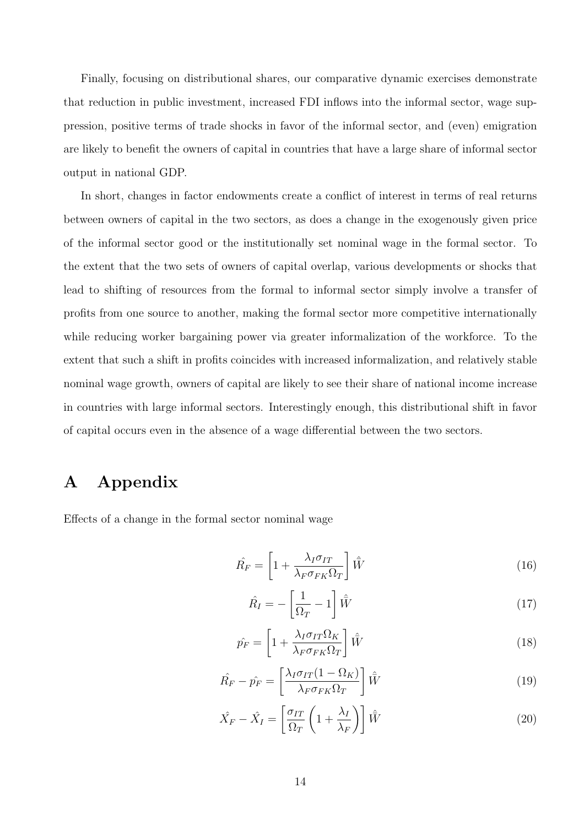Finally, focusing on distributional shares, our comparative dynamic exercises demonstrate that reduction in public investment, increased FDI inflows into the informal sector, wage suppression, positive terms of trade shocks in favor of the informal sector, and (even) emigration are likely to benefit the owners of capital in countries that have a large share of informal sector output in national GDP.

In short, changes in factor endowments create a conflict of interest in terms of real returns between owners of capital in the two sectors, as does a change in the exogenously given price of the informal sector good or the institutionally set nominal wage in the formal sector. To the extent that the two sets of owners of capital overlap, various developments or shocks that lead to shifting of resources from the formal to informal sector simply involve a transfer of profits from one source to another, making the formal sector more competitive internationally while reducing worker bargaining power via greater informalization of the workforce. To the extent that such a shift in profits coincides with increased informalization, and relatively stable nominal wage growth, owners of capital are likely to see their share of national income increase in countries with large informal sectors. Interestingly enough, this distributional shift in favor of capital occurs even in the absence of a wage differential between the two sectors.

### A Appendix

Effects of a change in the formal sector nominal wage

$$
\hat{R_F} = \left[1 + \frac{\lambda_I \sigma_{IT}}{\lambda_F \sigma_{FK} \Omega_T}\right] \hat{W}
$$
\n(16)

$$
\hat{R}_I = -\left[\frac{1}{\Omega_T} - 1\right] \hat{\bar{W}} \tag{17}
$$

$$
\hat{p_F} = \left[1 + \frac{\lambda_I \sigma_{IT} \Omega_K}{\lambda_F \sigma_{FK} \Omega_T}\right] \hat{W}
$$
\n(18)

$$
\hat{R_F} - \hat{p_F} = \left[\frac{\lambda_I \sigma_{IT} (1 - \Omega_K)}{\lambda_F \sigma_{FK} \Omega_T}\right] \hat{W}
$$
\n(19)

$$
\hat{X}_F - \hat{X}_I = \left[\frac{\sigma_{IT}}{\Omega_T} \left(1 + \frac{\lambda_I}{\lambda_F}\right)\right] \hat{W}
$$
\n(20)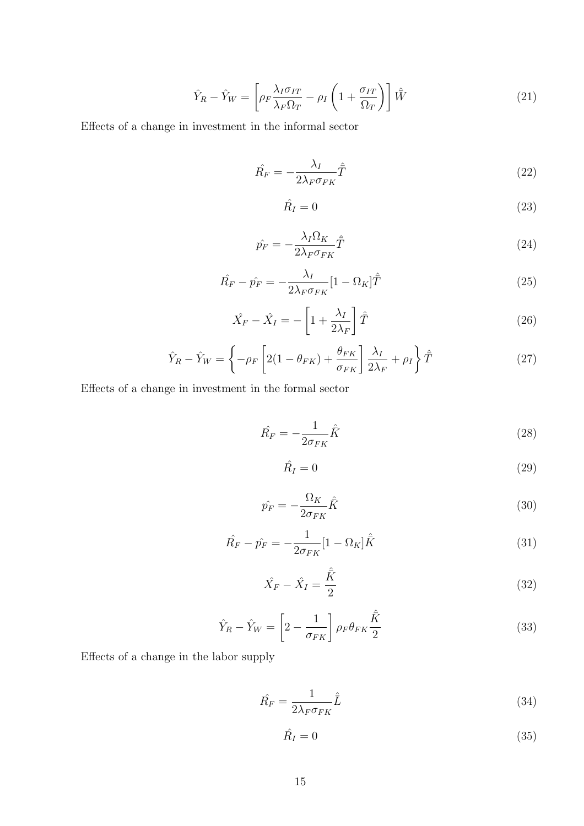$$
\hat{Y}_R - \hat{Y}_W = \left[ \rho_F \frac{\lambda_I \sigma_{IT}}{\lambda_F \Omega_T} - \rho_I \left( 1 + \frac{\sigma_{IT}}{\Omega_T} \right) \right] \hat{W}
$$
\n(21)

Effects of a change in investment in the informal sector

$$
\hat{R_F} = -\frac{\lambda_I}{2\lambda_F \sigma_{FK}} \hat{\bar{T}} \tag{22}
$$

$$
\hat{R}_I = 0 \tag{23}
$$

$$
\hat{p_F} = -\frac{\lambda_I \Omega_K}{2\lambda_F \sigma_{FK}} \hat{\bar{T}} \tag{24}
$$

$$
\hat{R_F} - \hat{p_F} = -\frac{\lambda_I}{2\lambda_F \sigma_{FK}} [1 - \Omega_K] \hat{\bar{T}} \tag{25}
$$

$$
\hat{X}_F - \hat{X}_I = -\left[1 + \frac{\lambda_I}{2\lambda_F}\right]\hat{T}
$$
\n(26)

$$
\hat{Y}_R - \hat{Y}_W = \left\{-\rho_F \left[2(1 - \theta_{FK}) + \frac{\theta_{FK}}{\sigma_{FK}}\right] \frac{\lambda_I}{2\lambda_F} + \rho_I\right\} \hat{T}
$$
\n(27)

Effects of a change in investment in the formal sector

$$
\hat{R_F} = -\frac{1}{2\sigma_{FK}}\hat{\tilde{K}}\tag{28}
$$

$$
\hat{R}_I = 0 \tag{29}
$$

$$
\hat{p_F} = -\frac{\Omega_K}{2\sigma_{FK}}\hat{\tilde{K}}\tag{30}
$$

$$
\hat{R_F} - \hat{p_F} = -\frac{1}{2\sigma_{FK}}[1 - \Omega_K]\hat{K}
$$
\n(31)

$$
\hat{X}_F - \hat{X}_I = \frac{\hat{\bar{K}}}{2}
$$
\n(32)

$$
\hat{Y}_R - \hat{Y}_W = \left[2 - \frac{1}{\sigma_{FK}}\right] \rho_F \theta_{FK} \frac{\hat{K}}{2}
$$
\n(33)

Effects of a change in the labor supply

$$
\hat{R_F} = \frac{1}{2\lambda_F \sigma_{FK}} \hat{\bar{L}} \tag{34}
$$

$$
\hat{R}_I = 0 \tag{35}
$$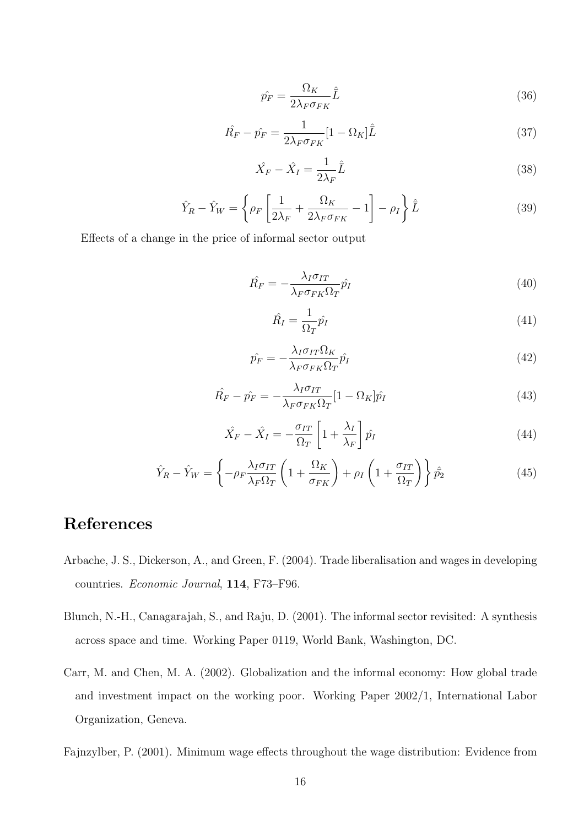$$
\hat{p_F} = \frac{\Omega_K}{2\lambda_F \sigma_{FK}} \hat{\bar{L}} \tag{36}
$$

$$
\hat{R_F} - \hat{p_F} = \frac{1}{2\lambda_F \sigma_{FK}} [1 - \Omega_K] \hat{\bar{L}} \tag{37}
$$

$$
\hat{X}_F - \hat{X}_I = \frac{1}{2\lambda_F} \hat{\bar{L}} \tag{38}
$$

$$
\hat{Y}_R - \hat{Y}_W = \left\{ \rho_F \left[ \frac{1}{2\lambda_F} + \frac{\Omega_K}{2\lambda_F \sigma_{FK}} - 1 \right] - \rho_I \right\} \hat{L}
$$
\n(39)

Effects of a change in the price of informal sector output

$$
\hat{R_F} = -\frac{\lambda_I \sigma_{IT}}{\lambda_F \sigma_{FK} \Omega_T} \hat{p_I}
$$
\n(40)

$$
\hat{R}_I = \frac{1}{\Omega_T} \hat{p}_I \tag{41}
$$

$$
\hat{p_F} = -\frac{\lambda_I \sigma_{IT} \Omega_K}{\lambda_F \sigma_{FK} \Omega_T} \hat{p_I}
$$
\n(42)

$$
\hat{R_F} - \hat{p_F} = -\frac{\lambda_I \sigma_{IT}}{\lambda_F \sigma_{FK} \Omega_T} [1 - \Omega_K] \hat{p_I}
$$
\n(43)

$$
\hat{X}_F - \hat{X}_I = -\frac{\sigma_{IT}}{\Omega_T} \left[ 1 + \frac{\lambda_I}{\lambda_F} \right] \hat{p_I}
$$
\n(44)

$$
\hat{Y}_R - \hat{Y}_W = \left\{ -\rho_F \frac{\lambda_I \sigma_{IT}}{\lambda_F \Omega_T} \left( 1 + \frac{\Omega_K}{\sigma_{FK}} \right) + \rho_I \left( 1 + \frac{\sigma_{IT}}{\Omega_T} \right) \right\} \hat{p}_2 \tag{45}
$$

### References

- Arbache, J. S., Dickerson, A., and Green, F. (2004). Trade liberalisation and wages in developing countries. Economic Journal, 114, F73–F96.
- Blunch, N.-H., Canagarajah, S., and Raju, D. (2001). The informal sector revisited: A synthesis across space and time. Working Paper 0119, World Bank, Washington, DC.
- Carr, M. and Chen, M. A. (2002). Globalization and the informal economy: How global trade and investment impact on the working poor. Working Paper 2002/1, International Labor Organization, Geneva.

Fajnzylber, P. (2001). Minimum wage effects throughout the wage distribution: Evidence from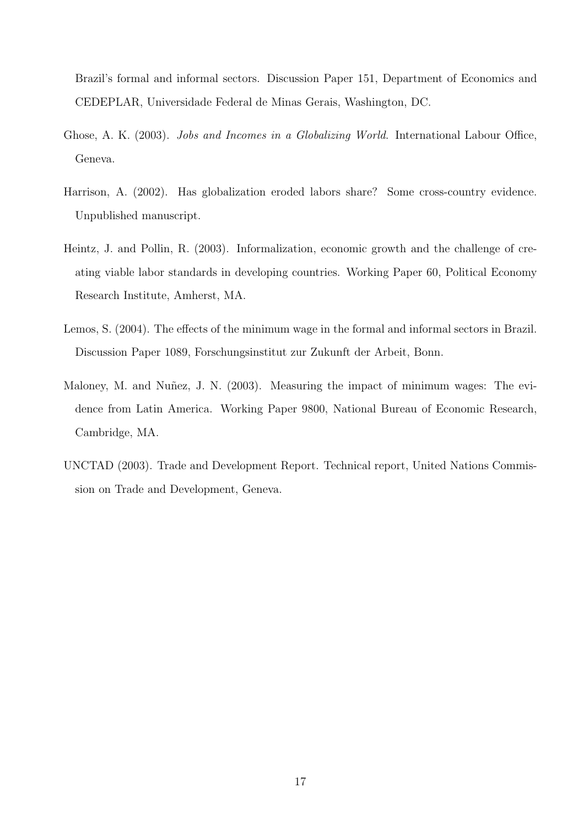Brazil's formal and informal sectors. Discussion Paper 151, Department of Economics and CEDEPLAR, Universidade Federal de Minas Gerais, Washington, DC.

- Ghose, A. K. (2003). Jobs and Incomes in a Globalizing World. International Labour Office, Geneva.
- Harrison, A. (2002). Has globalization eroded labors share? Some cross-country evidence. Unpublished manuscript.
- Heintz, J. and Pollin, R. (2003). Informalization, economic growth and the challenge of creating viable labor standards in developing countries. Working Paper 60, Political Economy Research Institute, Amherst, MA.
- Lemos, S. (2004). The effects of the minimum wage in the formal and informal sectors in Brazil. Discussion Paper 1089, Forschungsinstitut zur Zukunft der Arbeit, Bonn.
- Maloney, M. and Nuñez, J. N. (2003). Measuring the impact of minimum wages: The evidence from Latin America. Working Paper 9800, National Bureau of Economic Research, Cambridge, MA.
- UNCTAD (2003). Trade and Development Report. Technical report, United Nations Commission on Trade and Development, Geneva.